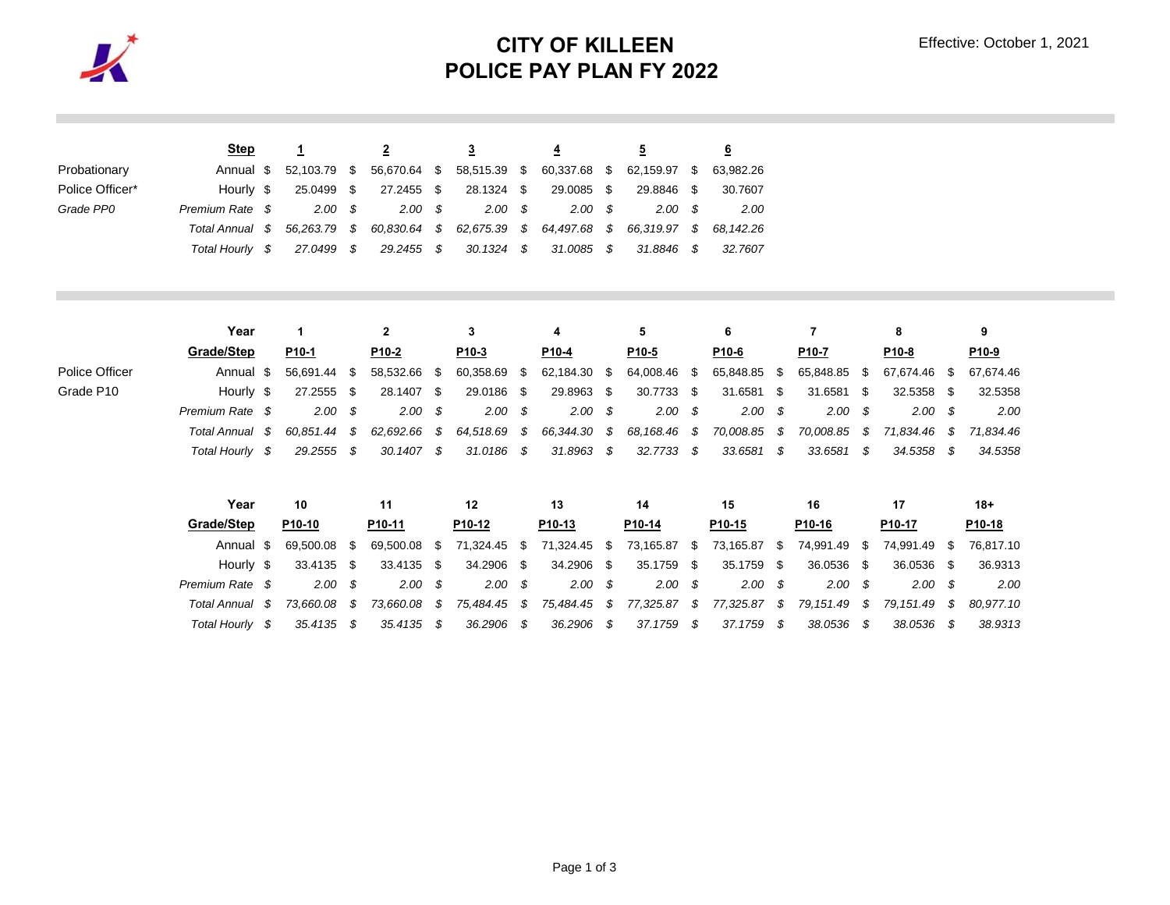

## **CITY OF KILLEEN POLICE PAY PLAN FY 2022**

|                 | <b>Step</b>     |           |               |            |      |              |      |                           |      |                        |          |           |
|-----------------|-----------------|-----------|---------------|------------|------|--------------|------|---------------------------|------|------------------------|----------|-----------|
| Probationary    | Annual \$       | 52.103.79 | - \$          | 56,670.64  | - \$ | 58,515.39 \$ |      | 60,337.68 \$              |      | 62.159.97              | - \$     | 63,982.26 |
| Police Officer* | Hourly \$       | 25.0499   | S.            | 27.2455 \$ |      | 28.1324 \$   |      | 29.0085                   | - \$ | 29.8846                | - \$     | 30.7607   |
| Grade PP0       | Premium Rate \$ | 2.00      | $\mathcal{S}$ | 2.00       | - \$ | 2.00         | - \$ | 2.00                      | - \$ | 2.00S                  |          | 2.00      |
|                 | Total Annual \$ | 56.263.79 | - \$          | 60.830.64  | - S  |              |      | 62,675.39 \$ 64,497.68 \$ |      | 66,319.97 \$ 68,142.26 |          |           |
|                 | Total Hourlv    | 27.0499   | - \$          | 29.2455 \$ |      | 30.1324      | s s  | 31.0085 \$                |      | 31.8846                | <b>S</b> | 32.7607   |

|                | Year            |     |              |  |           |      |                   |      | 4                  |      |            |       | 6                 |                   |      |              | 9                 |  |  |
|----------------|-----------------|-----|--------------|--|-----------|------|-------------------|------|--------------------|------|------------|-------|-------------------|-------------------|------|--------------|-------------------|--|--|
|                | Grade/Step      |     | P10-1        |  | P10-2     |      | P <sub>10-3</sub> |      | P10-4              |      | P10-5      |       | P <sub>10-6</sub> | P <sub>10-7</sub> |      | P10-8        | P <sub>10-9</sub> |  |  |
| Police Officer | Annual \$       |     | 56.691.44 \$ |  | 58.532.66 | - \$ | 60,358.69         | - 35 | 62,184.30 \$       |      | 64,008.46  | - \$5 | 65,848.85 \$      | 65,848.85         | - SS | 67.674.46 \$ | 67.674.46         |  |  |
| Grade P10      | Hourly \$       |     | 27.2555 \$   |  | 28.1407   | - \$ | 29.0186 \$        |      | 29.8963 \$         |      | 30.7733    | - \$  | 31.6581 \$        | 31.6581           | -SS  | 32.5358 \$   | 32.5358           |  |  |
|                | Premium Rate \$ |     | 2.00 S       |  | 2.00      | - \$ | 2.00              |      | $2.00 \, \text{S}$ |      | 2.00S      |       | 2.00 S            | 2.00              | - \$ | 2.00         | 2.00              |  |  |
|                | Total Annual    |     | 60.851.44 \$ |  | 62.692.66 | - SS | 64,518.69         | - S  | 66,344.30 \$       |      | 68,168.46  | S S   | 70.008.85 \$      | 70.008.85         | - \$ | 71.834.46    | 71.834.46         |  |  |
|                | Total Hourly    | - S | 29.2555      |  | 30.1407   | - \$ | 31.0186 \$        |      | 31.8963            | - \$ | 32.7733 \$ |       | 33.6581 \$        | 33.6581           | - \$ | 34.5358      | 34.5358           |  |  |

| Year            | 10           |    | 11                 |      | 12                 | 13   |                    |      | 14         |            | 15                 |     | 16           |      | 17        |      | 18+       |
|-----------------|--------------|----|--------------------|------|--------------------|------|--------------------|------|------------|------------|--------------------|-----|--------------|------|-----------|------|-----------|
| Grade/Step      | P10-10       |    | P <sub>10-11</sub> |      | P <sub>10-12</sub> |      | P <sub>10-13</sub> |      | P10-14     |            | P <sub>10-15</sub> |     | P10-16       |      | P10-17    |      | P10-18    |
| Annual \$       | 69.500.08 \$ |    | 69.500.08          | -SS  | 71,324.45 \$       |      | 71,324.45          | - \$ | 73,165.87  | $\sim$ \$. | 73,165.87          | \$. | 74.991.49    | S    | 74.991.49 | -SS  | 76.817.10 |
| Hourly \$       | 33.4135 \$   |    | 33.4135            | - \$ | 34.2906 \$         |      | 34.2906            | - \$ | 35.1759 \$ |            | 35.1759            | -\$ | 36.0536 \$   |      | 36.0536   | -SS  | 36.9313   |
| Premium Rate \$ | 2.00S        |    | 2.00               | - \$ | 2.00S              |      | 2.00S              |      | 2.00S      |            | 2.00S              |     | 2.00S        |      | 2.00      | - 85 | 2.00      |
| Total Annual \$ | 73.660.08    | S. | 73.660.08          | - \$ | 75.484.45 \$       |      | 75,484.45          | - \$ | 77,325.87  | S          | 77.325.87          | - S | 79.151.49 \$ |      | 79.151.49 | - \$ | 80.977.10 |
| Total Hourlv    | 35.4135      |    | 35.4135            | - S  | 36.2906            | - \$ | 36.2906            | - \$ | 37.1759    | S.         | 37.1759            | - S | 38.0536      | - SS | 38.0536   |      | 38.9313   |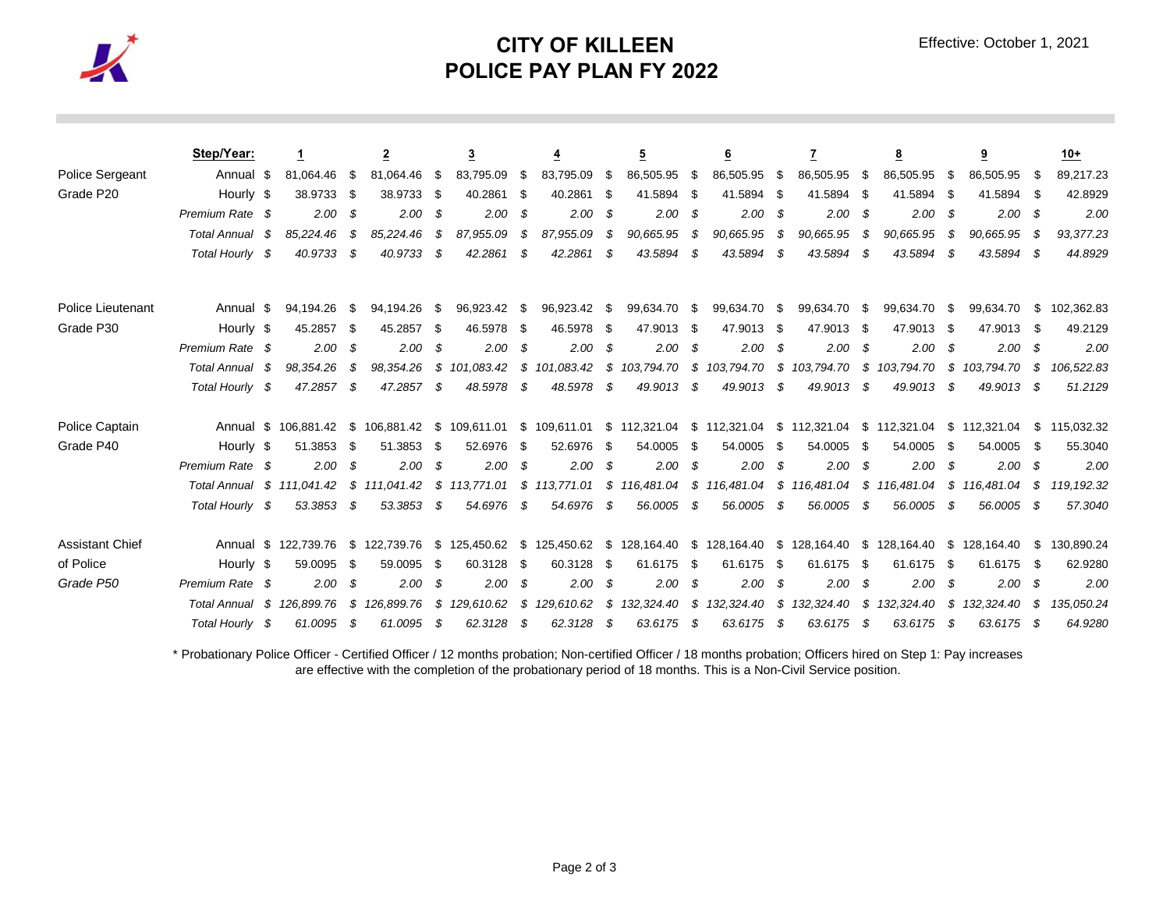

## **CITY OF KILLEEN POLICE PAY PLAN FY 2022**

|                          | Step/Year:                 |      |                      |      | 2                           |      | 3            |      | <u>4</u>     |      | 5            |      | 6            |      |               |      | 8            |      | 9            |      | $10+$       |
|--------------------------|----------------------------|------|----------------------|------|-----------------------------|------|--------------|------|--------------|------|--------------|------|--------------|------|---------------|------|--------------|------|--------------|------|-------------|
| <b>Police Sergeant</b>   | Annual                     | - \$ | 81,064.46            | \$   | 81,064.46                   | \$   | 83,795.09    | \$   | 83,795.09    | \$   | 86,505.95    | \$   | 86,505.95    | -\$  | 86,505.95     | \$   | 86,505.95    | \$   | 86,505.95    | - \$ | 89,217.23   |
| Grade P20                | Hourly \$                  |      | 38.9733 \$           |      | 38.9733                     | - \$ | 40.2861      | -\$  | 40.2861      | -\$  | 41.5894      | -\$  | 41.5894      | -\$  | 41.5894       | - \$ | 41.5894      | - \$ | 41.5894      |      | 42.8929     |
|                          | Premium Rate \$            |      | 2.00                 | \$   | 2.00                        | \$   | 2.00         | \$   | 2.00         | -\$  | 2.00         | -\$  | 2.00         | - \$ | 2.00          | - \$ | 2.00         | - \$ | $2.00\,$ \$  |      | 2.00        |
|                          | <b>Total Annual</b>        | - \$ | 85,224.46            | S    | 85,224.46                   | S    | 87,955.09    | \$   | 87,955.09    | S    | 90,665.95    |      | 90,665.95    | \$   | 90,665.95     | \$   | 90,665.95    | - \$ | 90,665.95    |      | 93,377.23   |
|                          | Total Hourly \$            |      | 40.9733              | \$   | 40.9733                     | - \$ | 42.2861      | \$   | 42.2861      |      | 43.5894      |      | 43.5894      | S    | 43.5894       | \$   | 43.5894      | - \$ | 43.5894      |      | 44.8929     |
| <b>Police Lieutenant</b> | Annual \$                  |      | 94,194.26            | - \$ | 94,194.26                   | -\$  | 96,923.42    | \$   | 96,923.42    | \$   | 99,634.70    | \$   | 99,634.70    | S    | 99,634.70     | \$.  | 99,634.70    | \$   | 99.634.70    | S    | 102,362.83  |
| Grade P30                | Hourly \$                  |      | 45.2857              | - \$ | 45.2857                     | - \$ | 46.5978      | \$   | 46.5978      | \$   | 47.9013      | -\$  | 47.9013      | - \$ | 47.9013 \$    |      | 47.9013 \$   |      | 47.9013      | - \$ | 49.2129     |
|                          | Premium Rate \$            |      | 2.00                 | \$   | 2.00                        | S    | 2.00         | \$   | 2.00         | \$   | 2.00         | - \$ | 2.00         | - \$ | 2.00          | - \$ | 2.00         | - \$ | $2.00\,$ \$  |      | 2.00        |
|                          | <b>Total Annual</b>        | - \$ | 98.354.26            | S    | 98.354.26                   | S    | 101.083.42   | \$   | 101.083.42   | \$   | 103.794.70   | \$   | 103.794.70   | S    | 103.794.70    | \$   | 103.794.70   | \$   | 103.794.70   | - \$ | 106,522.83  |
|                          | Total Hourly \$            |      | 47.2857              | -\$  | 47.2857                     | S    | 48.5978      | -\$  | 48.5978      | \$   | 49.9013      | - \$ | 49.9013      | -\$  | 49.9013       | - \$ | 49.9013      | - \$ | 49.9013      | - \$ | 51.2129     |
| Police Captain           |                            |      | Annual \$ 106,881,42 |      | \$ 106,881.42 \$ 109,611.01 |      |              |      | \$109,611.01 |      | \$112,321.04 |      | \$112,321.04 |      | \$112,321.04  |      | \$112,321.04 |      | \$112,321.04 | S.   | 115,032.32  |
| Grade P40                | Hourly \$                  |      | 51.3853 \$           |      | 51.3853 \$                  |      | 52.6976      | -\$  | 52.6976      | \$   | 54.0005      | \$   | 54.0005      | - \$ | 54.0005       | - \$ | 54.0005      | - \$ | 54.0005      | - \$ | 55.3040     |
|                          | Premium Rate \$            |      | 2.00                 | s.   | 2.00                        | S    | 2.00         | -\$  | 2.00         | - \$ | 2.00         | - \$ | 2.00         | - \$ | 2.00          | - \$ | 2.00         | - \$ | 2.00S        |      | 2.00        |
|                          | Total Annual \$ 111.041.42 |      |                      |      | \$111.041.42                |      | \$113,771.01 |      | \$113,771.01 |      | \$116,481.04 |      | \$116,481.04 |      | \$116,481.04  | S.   | 116,481.04   |      | \$116.481.04 | S    | 119, 192.32 |
|                          | Total Hourly \$            |      | 53.3853              | -\$  | 53.3853                     | - \$ | 54.6976      | - \$ | 54.6976      | - \$ | 56.0005      | - \$ | 56.0005      | - \$ | 56.0005       | - \$ | 56.0005      | - \$ | 56.0005      | - \$ | 57.3040     |
| <b>Assistant Chief</b>   |                            |      | Annual \$ 122,739.76 |      | \$122,739.76                |      | \$125,450.62 |      | \$125,450.62 |      | \$128,164.40 |      | \$128,164.40 | - S  | 128,164.40 \$ |      | 128,164.40   |      | \$128,164.40 | S.   | 130,890.24  |
| of Police                | Hourly \$                  |      | 59.0095              | - \$ | 59.0095                     | - \$ | 60.3128      | -\$  | 60.3128      | \$   | 61.6175      | - \$ | 61.6175      | - \$ | 61.6175 \$    |      | 61.6175 \$   |      | 61.6175      | - \$ | 62.9280     |
| Grade P50                | Premium Rate \$            |      | 2.00                 | \$   | 2.00                        | S    | 2.00         | -\$  | 2.00         | -\$  | 2.00         | - \$ | 2.00         | - \$ | 2.00          | - \$ | 2.00         | - \$ | $2.00\,$ \$  |      | 2.00        |
|                          | Total Annual               | - \$ | 126.899.76           | S.   | 126,899.76                  | S    | 129,610.62   |      | \$129,610.62 |      | \$132,324.40 | \$   | 132,324.40   | S    | 132,324.40    | \$   | 132,324.40   | S.   | 132,324.40   | -S   | 135,050.24  |
|                          | Total Hourly \$            |      | 61.0095              | - \$ | 61.0095                     | - S  | 62.3128      | - \$ | 62.3128      | - S  | 63.6175      | - \$ | 63.6175      | - \$ | 63.6175       | - \$ | 63.6175      | - \$ | 63.6175 \$   |      | 64.9280     |

\* Probationary Police Officer - Certified Officer / 12 months probation; Non-certified Officer / 18 months probation; Officers hired on Step 1: Pay increases are effective with the completion of the probationary period of 18 months. This is a Non-Civil Service position.